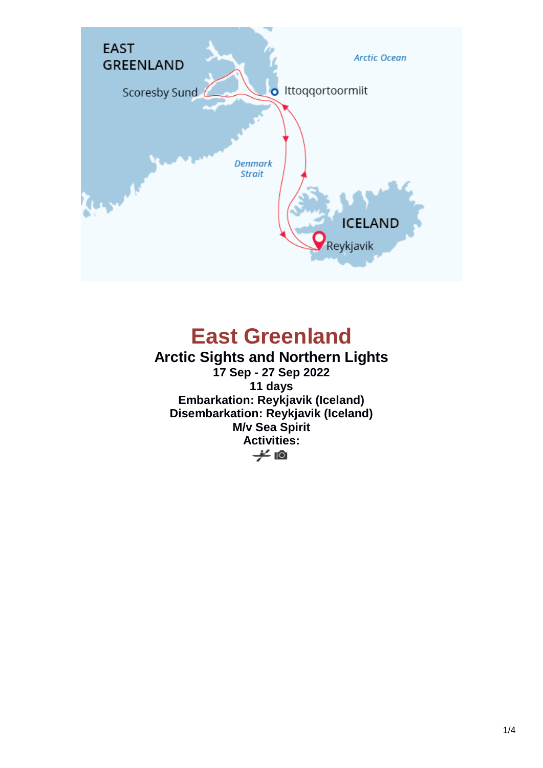

# **East Greenland**

### **Arctic Sights and Northern Lights 17 Sep - 27 Sep 2022 11 days Embarkation: Reykjavik (Iceland) Disembarkation: Reykjavik (Iceland) M/v Sea Spirit** Activities:<br><del>/</del> 图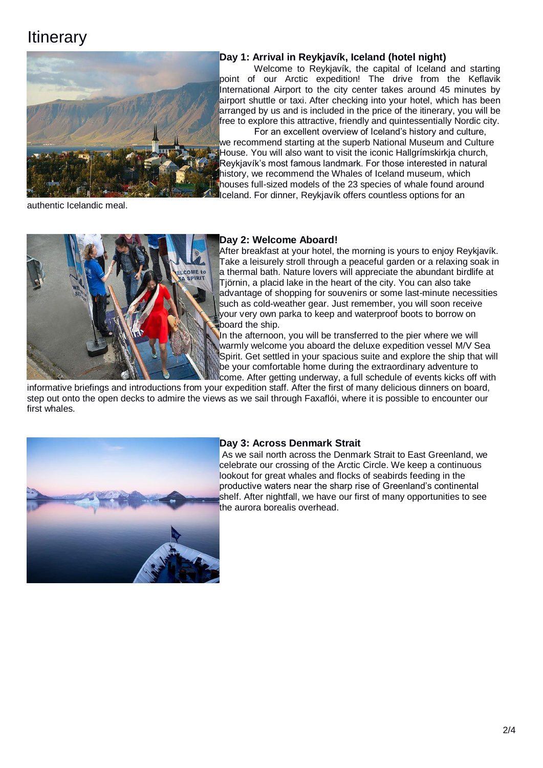## **Itinerary**



#### **Day 1: Arrival in Reykjavík, Iceland (hotel night)**

Welcome to Reykjavík, the capital of Iceland and starting point of our Arctic expedition! The drive from the Keflavik International Airport to the city center takes around 45 minutes by airport shuttle or taxi. After checking into your hotel, which has been arranged by us and is included in the price of the itinerary, you will be free to explore this attractive, friendly and quintessentially Nordic city.

For an excellent overview of Iceland's history and culture, we recommend starting at the superb National Museum and Culture House. You will also want to visit the iconic Hallgrímskirkja church, Reykjavík's most famous landmark. For those interested in natural history, we recommend the Whales of Iceland museum, which houses full-sized models of the 23 species of whale found around Iceland. For dinner, Reykjavík offers countless options for an

authentic Icelandic meal.



#### **Day 2: Welcome Aboard!**

After breakfast at your hotel, the morning is yours to enjoy Reykjavík. Take a leisurely stroll through a peaceful garden or a relaxing soak in a thermal bath. Nature lovers will appreciate the abundant birdlife at Tjörnin, a placid lake in the heart of the city. You can also take advantage of shopping for souvenirs or some last-minute necessities such as cold-weather gear. Just remember, you will soon receive your very own parka to keep and waterproof boots to borrow on board the ship.

In the afternoon, you will be transferred to the pier where we will warmly welcome you aboard the deluxe expedition vessel M/V Sea Spirit. Get settled in your spacious suite and explore the ship that will be your comfortable home during the extraordinary adventure to come. After getting underway, a full schedule of events kicks off with

informative briefings and introductions from your expedition staff. After the first of many delicious dinners on board, step out onto the open decks to admire the views as we sail through Faxaflói, where it is possible to encounter our first whales.



#### **Day 3: Across Denmark Strait**

As we sail north across the Denmark Strait to East Greenland, we celebrate our crossing of the Arctic Circle. We keep a continuous lookout for great whales and flocks of seabirds feeding in the productive waters near the sharp rise of Greenland's continental shelf. After nightfall, we have our first of many opportunities to see the aurora borealis overhead.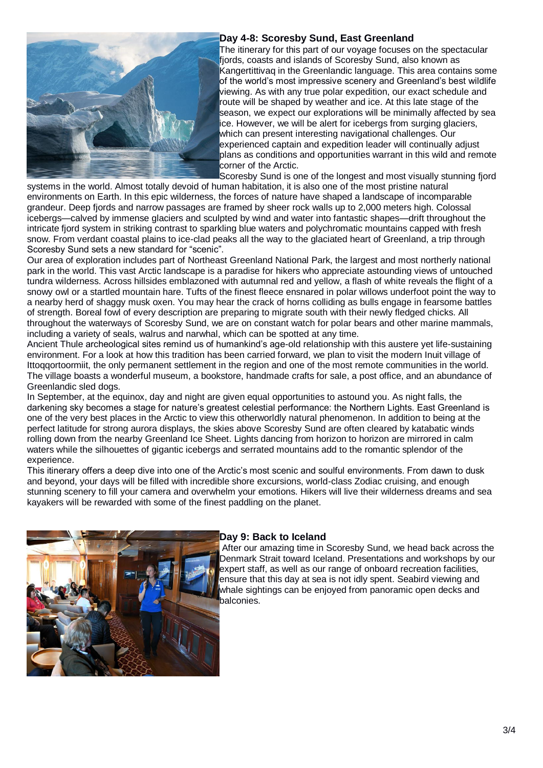

#### **Day 4-8: Scoresby Sund, East Greenland**

The itinerary for this part of our voyage focuses on the spectacular fjords, coasts and islands of Scoresby Sund, also known as Kangertittivaq in the Greenlandic language. This area contains some of the world's most impressive scenery and Greenland's best wildlife viewing. As with any true polar expedition, our exact schedule and route will be shaped by weather and ice. At this late stage of the season, we expect our explorations will be minimally affected by sea ice. However, we will be alert for icebergs from surging glaciers, which can present interesting navigational challenges. Our experienced captain and expedition leader will continually adjust plans as conditions and opportunities warrant in this wild and remote corner of the Arctic.

Scoresby Sund is one of the longest and most visually stunning fjord systems in the world. Almost totally devoid of human habitation, it is also one of the most pristine natural environments on Earth. In this epic wilderness, the forces of nature have shaped a landscape of incomparable grandeur. Deep fjords and narrow passages are framed by sheer rock walls up to 2,000 meters high. Colossal icebergs—calved by immense glaciers and sculpted by wind and water into fantastic shapes—drift throughout the intricate fjord system in striking contrast to sparkling blue waters and polychromatic mountains capped with fresh snow. From verdant coastal plains to ice-clad peaks all the way to the glaciated heart of Greenland, a trip through Scoresby Sund sets a new standard for "scenic".

Our area of exploration includes part of Northeast Greenland National Park, the largest and most northerly national park in the world. This vast Arctic landscape is a paradise for hikers who appreciate astounding views of untouched tundra wilderness. Across hillsides emblazoned with autumnal red and yellow, a flash of white reveals the flight of a snowy owl or a startled mountain hare. Tufts of the finest fleece ensnared in polar willows underfoot point the way to a nearby herd of shaggy musk oxen. You may hear the crack of horns colliding as bulls engage in fearsome battles of strength. Boreal fowl of every description are preparing to migrate south with their newly fledged chicks. All throughout the waterways of Scoresby Sund, we are on constant watch for polar bears and other marine mammals, including a variety of seals, walrus and narwhal, which can be spotted at any time.

Ancient Thule archeological sites remind us of humankind's age-old relationship with this austere yet life-sustaining environment. For a look at how this tradition has been carried forward, we plan to visit the modern Inuit village of Ittoqqortoormiit, the only permanent settlement in the region and one of the most remote communities in the world. The village boasts a wonderful museum, a bookstore, handmade crafts for sale, a post office, and an abundance of Greenlandic sled dogs.

In September, at the equinox, day and night are given equal opportunities to astound you. As night falls, the darkening sky becomes a stage for nature's greatest celestial performance: the Northern Lights. East Greenland is one of the very best places in the Arctic to view this otherworldly natural phenomenon. In addition to being at the perfect latitude for strong aurora displays, the skies above Scoresby Sund are often cleared by katabatic winds rolling down from the nearby Greenland Ice Sheet. Lights dancing from horizon to horizon are mirrored in calm waters while the silhouettes of gigantic icebergs and serrated mountains add to the romantic splendor of the experience.

This itinerary offers a deep dive into one of the Arctic's most scenic and soulful environments. From dawn to dusk and beyond, your days will be filled with incredible shore excursions, world-class Zodiac cruising, and enough stunning scenery to fill your camera and overwhelm your emotions. Hikers will live their wilderness dreams and sea kayakers will be rewarded with some of the finest paddling on the planet.



#### **Day 9: Back to Iceland**

After our amazing time in Scoresby Sund, we head back across the Denmark Strait toward Iceland. Presentations and workshops by our expert staff, as well as our range of onboard recreation facilities, ensure that this day at sea is not idly spent. Seabird viewing and whale sightings can be enjoyed from panoramic open decks and balconies.